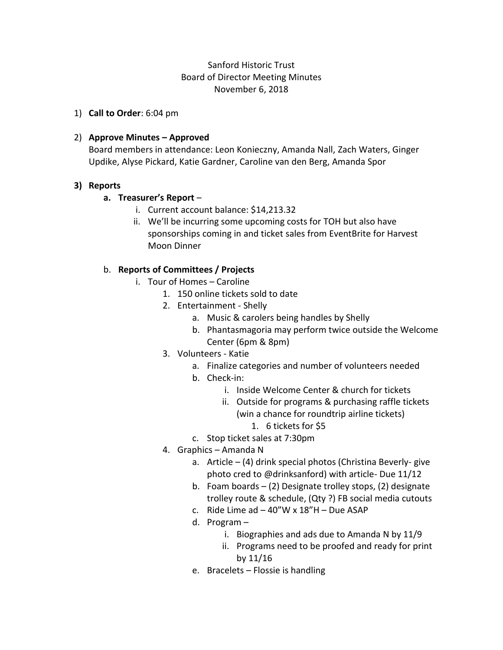# Sanford Historic Trust Board of Director Meeting Minutes November 6, 2018

1) **Call to Order**: 6:04 pm

### 2) **Approve Minutes – Approved**

Board members in attendance: Leon Konieczny, Amanda Nall, Zach Waters, Ginger Updike, Alyse Pickard, Katie Gardner, Caroline van den Berg, Amanda Spor

#### **3) Reports**

#### **a. Treasurer's Report** –

- i. Current account balance: \$14,213.32
- ii. We'll be incurring some upcoming costs for TOH but also have sponsorships coming in and ticket sales from EventBrite for Harvest Moon Dinner

#### b. **Reports of Committees / Projects**

- i. Tour of Homes Caroline
	- 1. 150 online tickets sold to date
	- 2. Entertainment Shelly
		- a. Music & carolers being handles by Shelly
		- b. Phantasmagoria may perform twice outside the Welcome Center (6pm & 8pm)
	- 3. Volunteers Katie
		- a. Finalize categories and number of volunteers needed
		- b. Check-in:
			- i. Inside Welcome Center & church for tickets
			- ii. Outside for programs & purchasing raffle tickets (win a chance for roundtrip airline tickets)
				- 1. 6 tickets for \$5
		- c. Stop ticket sales at 7:30pm
	- 4. Graphics Amanda N
		- a. Article (4) drink special photos (Christina Beverly- give photo cred to @drinksanford) with article- Due 11/12
		- b. Foam boards (2) Designate trolley stops, (2) designate trolley route & schedule, (Qty ?) FB social media cutouts
		- c. Ride Lime ad  $-40''$ W x  $18''$ H Due ASAP
		- d. Program
			- i. Biographies and ads due to Amanda N by 11/9
			- ii. Programs need to be proofed and ready for print by 11/16
		- e. Bracelets Flossie is handling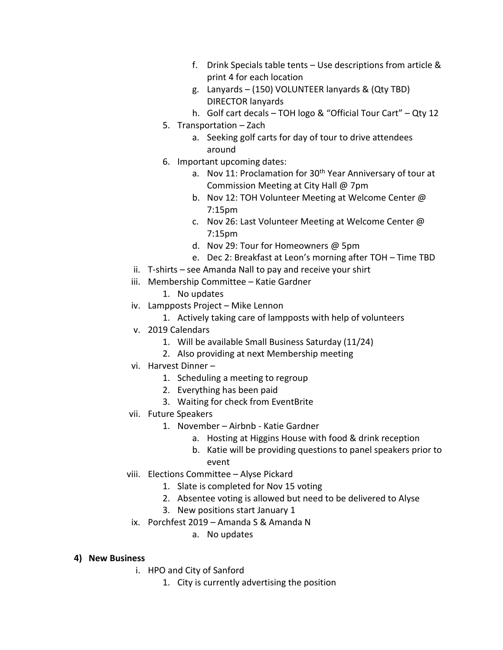- f. Drink Specials table tents Use descriptions from article & print 4 for each location
- g. Lanyards (150) VOLUNTEER lanyards & (Qty TBD) DIRECTOR lanyards
- h. Golf cart decals TOH logo & "Official Tour Cart" Qty 12
- 5. Transportation Zach
	- a. Seeking golf carts for day of tour to drive attendees around
- 6. Important upcoming dates:
	- a. Nov 11: Proclamation for 30<sup>th</sup> Year Anniversary of tour at Commission Meeting at City Hall @ 7pm
	- b. Nov 12: TOH Volunteer Meeting at Welcome Center @ 7:15pm
	- c. Nov 26: Last Volunteer Meeting at Welcome Center @ 7:15pm
	- d. Nov 29: Tour for Homeowners @ 5pm
	- e. Dec 2: Breakfast at Leon's morning after TOH Time TBD
- ii. T-shirts see Amanda Nall to pay and receive your shirt
- iii. Membership Committee Katie Gardner
	- 1. No updates
- iv. Lampposts Project Mike Lennon
	- 1. Actively taking care of lampposts with help of volunteers
- v. 2019 Calendars
	- 1. Will be available Small Business Saturday (11/24)
	- 2. Also providing at next Membership meeting
- vi. Harvest Dinner
	- 1. Scheduling a meeting to regroup
	- 2. Everything has been paid
	- 3. Waiting for check from EventBrite
- vii. Future Speakers
	- 1. November Airbnb Katie Gardner
		- a. Hosting at Higgins House with food & drink reception
		- b. Katie will be providing questions to panel speakers prior to event
- viii. Elections Committee Alyse Pickard
	- 1. Slate is completed for Nov 15 voting
	- 2. Absentee voting is allowed but need to be delivered to Alyse
	- 3. New positions start January 1
	- ix. Porchfest 2019 Amanda S & Amanda N
		- a. No updates

## **4) New Business**

- i. HPO and City of Sanford
	- 1. City is currently advertising the position